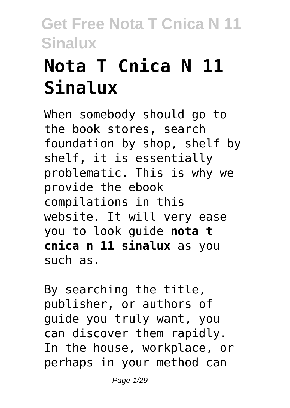# **Nota T Cnica N 11 Sinalux**

When somebody should go to the book stores, search foundation by shop, shelf by shelf, it is essentially problematic. This is why we provide the ebook compilations in this website. It will very ease you to look guide **nota t cnica n 11 sinalux** as you such as.

By searching the title, publisher, or authors of guide you truly want, you can discover them rapidly. In the house, workplace, or perhaps in your method can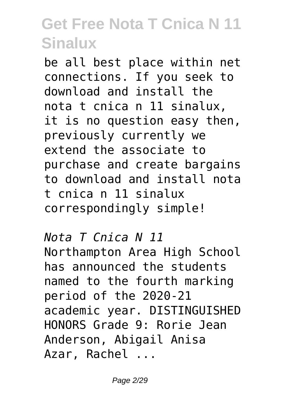be all best place within net connections. If you seek to download and install the nota t cnica n 11 sinalux, it is no question easy then, previously currently we extend the associate to purchase and create bargains to download and install nota t cnica n 11 sinalux correspondingly simple!

*Nota T Cnica N 11* Northampton Area High School has announced the students named to the fourth marking period of the 2020-21 academic year. DISTINGUISHED HONORS Grade 9: Rorie Jean Anderson, Abigail Anisa Azar, Rachel ...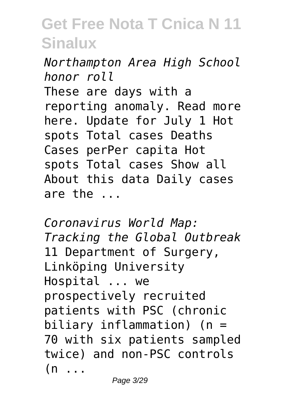*Northampton Area High School honor roll* These are days with a reporting anomaly. Read more here. Update for July 1 Hot

spots Total cases Deaths Cases perPer capita Hot spots Total cases Show all About this data Daily cases are the ...

*Coronavirus World Map: Tracking the Global Outbreak* 11 Department of Surgery, Linköping University Hospital ... we prospectively recruited patients with PSC (chronic biliary inflammation) (n = 70 with six patients sampled twice) and non-PSC controls  $(n \ldots$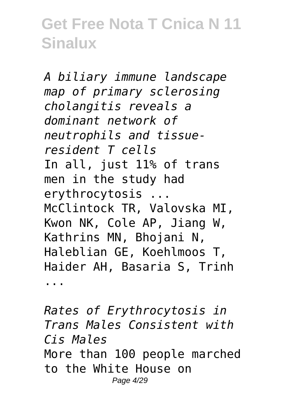*A biliary immune landscape map of primary sclerosing cholangitis reveals a dominant network of neutrophils and tissueresident T cells* In all, just 11% of trans men in the study had erythrocytosis ... McClintock TR, Valovska MI, Kwon NK, Cole AP, Jiang W, Kathrins MN, Bhojani N, Haleblian GE, Koehlmoos T, Haider AH, Basaria S, Trinh

...

*Rates of Erythrocytosis in Trans Males Consistent with Cis Males* More than 100 people marched to the White House on Page 4/29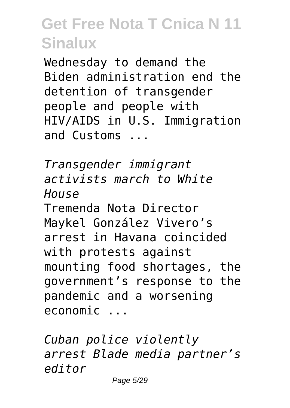Wednesday to demand the Biden administration end the detention of transgender people and people with HIV/AIDS in U.S. Immigration and Customs ...

*Transgender immigrant activists march to White House* Tremenda Nota Director Maykel González Vivero's arrest in Havana coincided with protests against mounting food shortages, the government's response to the pandemic and a worsening economic ...

*Cuban police violently arrest Blade media partner's editor*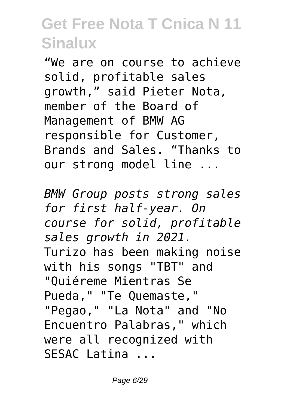"We are on course to achieve solid, profitable sales growth," said Pieter Nota, member of the Board of Management of BMW AG responsible for Customer, Brands and Sales. "Thanks to our strong model line ...

*BMW Group posts strong sales for first half-year. On course for solid, profitable sales growth in 2021.* Turizo has been making noise with his songs "TBT" and "Quiéreme Mientras Se Pueda," "Te Quemaste," "Pegao," "La Nota" and "No Encuentro Palabras," which were all recognized with SESAC Latina ...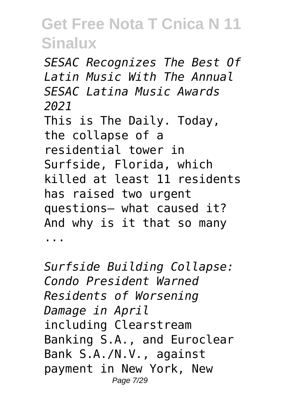*SESAC Recognizes The Best Of Latin Music With The Annual SESAC Latina Music Awards 2021* This is The Daily. Today, the collapse of a residential tower in Surfside, Florida, which killed at least 11 residents has raised two urgent questions— what caused it? And why is it that so many ...

*Surfside Building Collapse: Condo President Warned Residents of Worsening Damage in April* including Clearstream Banking S.A., and Euroclear Bank S.A./N.V., against payment in New York, New Page 7/29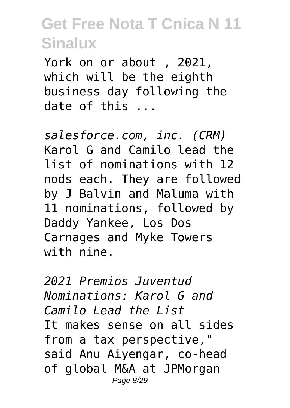York on or about , 2021, which will be the eighth business day following the date of this ...

*salesforce.com, inc. (CRM)* Karol G and Camilo lead the list of nominations with 12 nods each. They are followed by J Balvin and Maluma with 11 nominations, followed by Daddy Yankee, Los Dos Carnages and Myke Towers with nine.

*2021 Premios Juventud Nominations: Karol G and Camilo Lead the List* It makes sense on all sides from a tax perspective," said Anu Aiyengar, co-head of global M&A at JPMorgan Page 8/29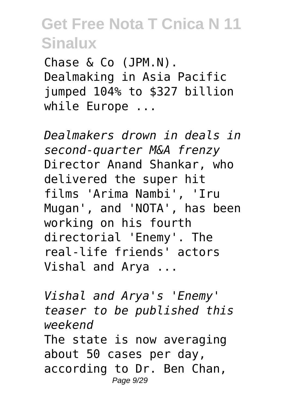Chase & Co (JPM.N). Dealmaking in Asia Pacific jumped 104% to \$327 billion while Europe ...

*Dealmakers drown in deals in second-quarter M&A frenzy* Director Anand Shankar, who delivered the super hit films 'Arima Nambi', 'Iru Mugan', and 'NOTA', has been working on his fourth directorial 'Enemy'. The real-life friends' actors Vishal and Arya ...

*Vishal and Arya's 'Enemy' teaser to be published this weekend* The state is now averaging about 50 cases per day, according to Dr. Ben Chan, Page 9/29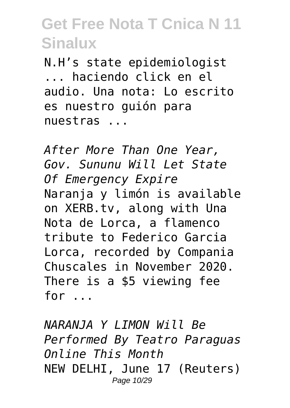N.H's state epidemiologist ... haciendo click en el audio. Una nota: Lo escrito es nuestro guión para nuestras ...

*After More Than One Year, Gov. Sununu Will Let State Of Emergency Expire* Naranja y limón is available on XERB.tv, along with Una Nota de Lorca, a flamenco tribute to Federico Garcia Lorca, recorded by Compania Chuscales in November 2020. There is a \$5 viewing fee for ...

*NARANJA Y LIMON Will Be Performed By Teatro Paraguas Online This Month* NEW DELHI, June 17 (Reuters) Page 10/29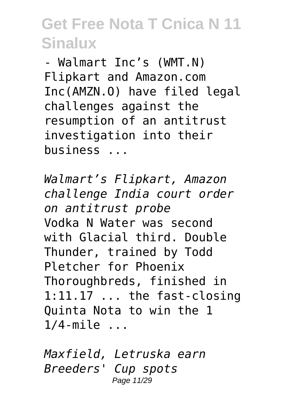- Walmart Inc's (WMT.N) Flipkart and Amazon.com Inc(AMZN.O) have filed legal challenges against the resumption of an antitrust investigation into their business ...

*Walmart's Flipkart, Amazon challenge India court order on antitrust probe* Vodka N Water was second with Glacial third. Double Thunder, trained by Todd Pletcher for Phoenix Thoroughbreds, finished in 1:11.17 ... the fast-closing Quinta Nota to win the 1 1/4-mile ...

*Maxfield, Letruska earn Breeders' Cup spots* Page 11/29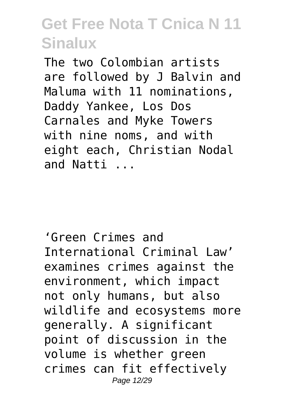The two Colombian artists are followed by J Balvin and Maluma with 11 nominations, Daddy Yankee, Los Dos Carnales and Myke Towers with nine noms, and with eight each, Christian Nodal and Natti ...

'Green Crimes and International Criminal Law' examines crimes against the environment, which impact not only humans, but also wildlife and ecosystems more generally. A significant point of discussion in the volume is whether green crimes can fit effectively Page 12/29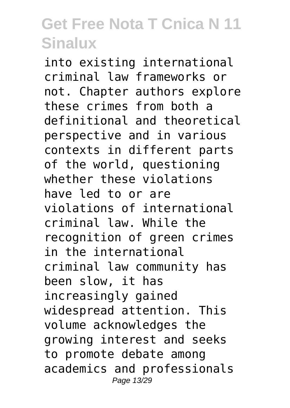into existing international criminal law frameworks or not. Chapter authors explore these crimes from both a definitional and theoretical perspective and in various contexts in different parts of the world, questioning whether these violations have led to or are violations of international criminal law. While the recognition of green crimes in the international criminal law community has been slow, it has increasingly gained widespread attention. This volume acknowledges the growing interest and seeks to promote debate among academics and professionals Page 13/29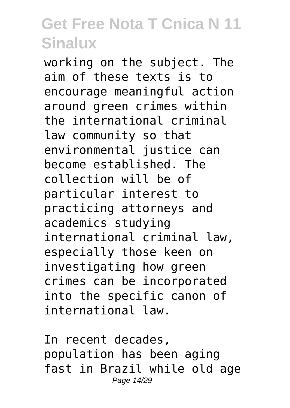working on the subject. The aim of these texts is to encourage meaningful action around green crimes within the international criminal law community so that environmental justice can become established. The collection will be of particular interest to practicing attorneys and academics studying international criminal law, especially those keen on investigating how green crimes can be incorporated into the specific canon of international law.

In recent decades, population has been aging fast in Brazil while old age Page 14/29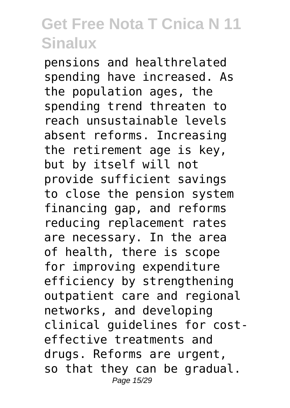pensions and healthrelated spending have increased. As the population ages, the spending trend threaten to reach unsustainable levels absent reforms. Increasing the retirement age is key, but by itself will not provide sufficient savings to close the pension system financing gap, and reforms reducing replacement rates are necessary. In the area of health, there is scope for improving expenditure efficiency by strengthening outpatient care and regional networks, and developing clinical guidelines for costeffective treatments and drugs. Reforms are urgent, so that they can be gradual. Page 15/29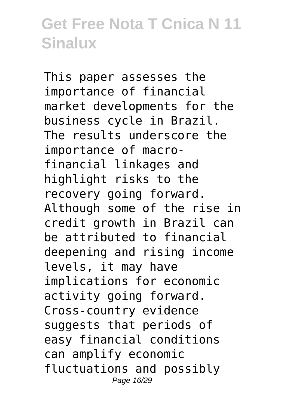This paper assesses the importance of financial market developments for the business cycle in Brazil. The results underscore the importance of macrofinancial linkages and highlight risks to the recovery going forward. Although some of the rise in credit growth in Brazil can be attributed to financial deepening and rising income levels, it may have implications for economic activity going forward. Cross-country evidence suggests that periods of easy financial conditions can amplify economic fluctuations and possibly Page 16/29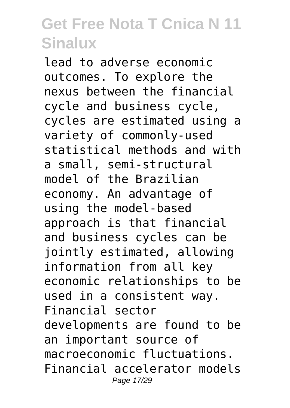lead to adverse economic outcomes. To explore the nexus between the financial cycle and business cycle, cycles are estimated using a variety of commonly-used statistical methods and with a small, semi-structural model of the Brazilian economy. An advantage of using the model-based approach is that financial and business cycles can be jointly estimated, allowing information from all key economic relationships to be used in a consistent way. Financial sector developments are found to be an important source of macroeconomic fluctuations. Financial accelerator models Page 17/29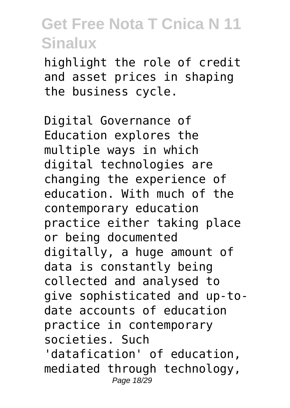highlight the role of credit and asset prices in shaping the business cycle.

Digital Governance of Education explores the multiple ways in which digital technologies are changing the experience of education. With much of the contemporary education practice either taking place or being documented digitally, a huge amount of data is constantly being collected and analysed to give sophisticated and up-todate accounts of education practice in contemporary societies. Such 'datafication' of education, mediated through technology,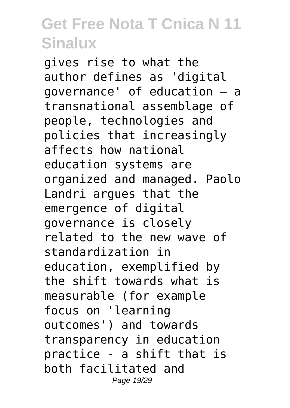gives rise to what the author defines as 'digital governance' of education – a transnational assemblage of people, technologies and policies that increasingly affects how national education systems are organized and managed. Paolo Landri argues that the emergence of digital governance is closely related to the new wave of standardization in education, exemplified by the shift towards what is measurable (for example focus on 'learning outcomes') and towards transparency in education practice - a shift that is both facilitated and Page 19/29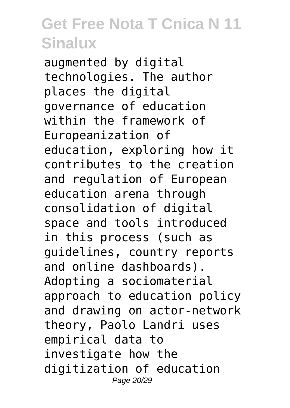augmented by digital technologies. The author places the digital governance of education within the framework of Europeanization of education, exploring how it contributes to the creation and regulation of European education arena through consolidation of digital space and tools introduced in this process (such as guidelines, country reports and online dashboards). Adopting a sociomaterial approach to education policy and drawing on actor-network theory, Paolo Landri uses empirical data to investigate how the digitization of education Page 20/29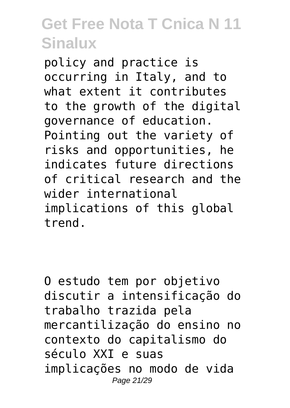policy and practice is occurring in Italy, and to what extent it contributes to the growth of the digital governance of education. Pointing out the variety of risks and opportunities, he indicates future directions of critical research and the wider international implications of this global trend.

O estudo tem por objetivo discutir a intensificação do trabalho trazida pela mercantilização do ensino no contexto do capitalismo do século XXI e suas implicações no modo de vida Page 21/29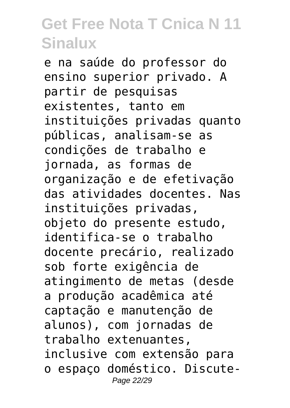e na saúde do professor do ensino superior privado. A partir de pesquisas existentes, tanto em instituições privadas quanto públicas, analisam-se as condições de trabalho e jornada, as formas de organização e de efetivação das atividades docentes. Nas instituições privadas, objeto do presente estudo, identifica-se o trabalho docente precário, realizado sob forte exigência de atingimento de metas (desde a produção acadêmica até captação e manutenção de alunos), com jornadas de trabalho extenuantes, inclusive com extensão para o espaço doméstico. Discute-Page 22/29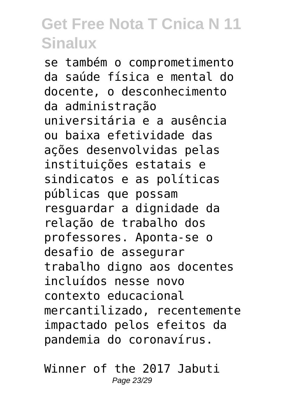se também o comprometimento da saúde física e mental do docente, o desconhecimento da administração universitária e a ausência ou baixa efetividade das ações desenvolvidas pelas instituições estatais e sindicatos e as políticas públicas que possam resguardar a dignidade da relação de trabalho dos professores. Aponta-se o desafio de assegurar trabalho digno aos docentes incluídos nesse novo contexto educacional mercantilizado, recentemente impactado pelos efeitos da pandemia do coronavírus.

Winner of the 2017 Jabuti Page 23/29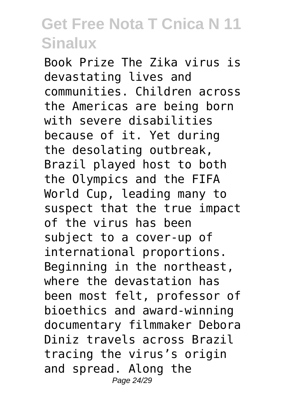Book Prize The Zika virus is devastating lives and communities. Children across the Americas are being born with severe disabilities because of it. Yet during the desolating outbreak, Brazil played host to both the Olympics and the FIFA World Cup, leading many to suspect that the true impact of the virus has been subject to a cover-up of international proportions. Beginning in the northeast, where the devastation has been most felt, professor of bioethics and award-winning documentary filmmaker Debora Diniz travels across Brazil tracing the virus's origin and spread. Along the Page 24/29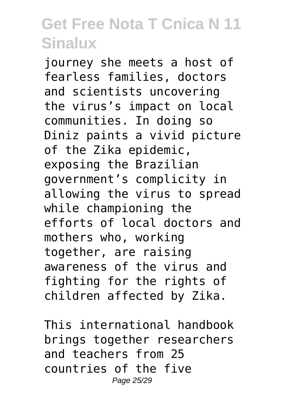journey she meets a host of fearless families, doctors and scientists uncovering the virus's impact on local communities. In doing so Diniz paints a vivid picture of the Zika epidemic, exposing the Brazilian government's complicity in allowing the virus to spread while championing the efforts of local doctors and mothers who, working together, are raising awareness of the virus and fighting for the rights of children affected by Zika.

This international handbook brings together researchers and teachers from 25 countries of the five Page 25/29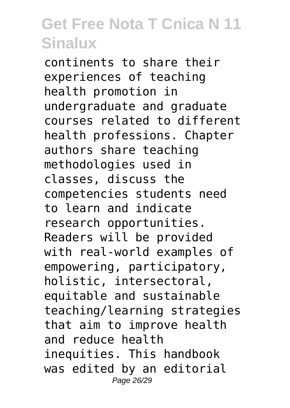continents to share their experiences of teaching health promotion in undergraduate and graduate courses related to different health professions. Chapter authors share teaching methodologies used in classes, discuss the competencies students need to learn and indicate research opportunities. Readers will be provided with real-world examples of empowering, participatory, holistic, intersectoral, equitable and sustainable teaching/learning strategies that aim to improve health and reduce health inequities. This handbook was edited by an editorial Page 26/29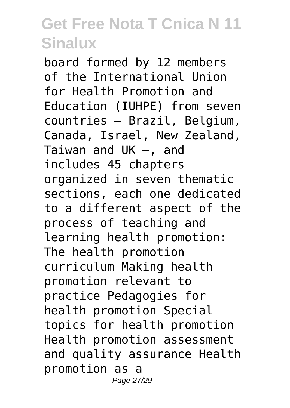board formed by 12 members of the International Union for Health Promotion and Education (IUHPE) from seven countries – Brazil, Belgium, Canada, Israel, New Zealand, Taiwan and UK –, and includes 45 chapters organized in seven thematic sections, each one dedicated to a different aspect of the process of teaching and learning health promotion: The health promotion curriculum Making health promotion relevant to practice Pedagogies for health promotion Special topics for health promotion Health promotion assessment and quality assurance Health promotion as a Page 27/29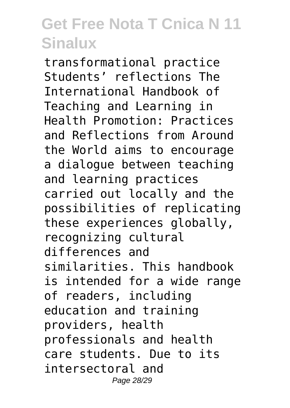transformational practice Students' reflections The International Handbook of Teaching and Learning in Health Promotion: Practices and Reflections from Around the World aims to encourage a dialogue between teaching and learning practices carried out locally and the possibilities of replicating these experiences globally, recognizing cultural differences and similarities. This handbook is intended for a wide range of readers, including education and training providers, health professionals and health care students. Due to its intersectoral and Page 28/29